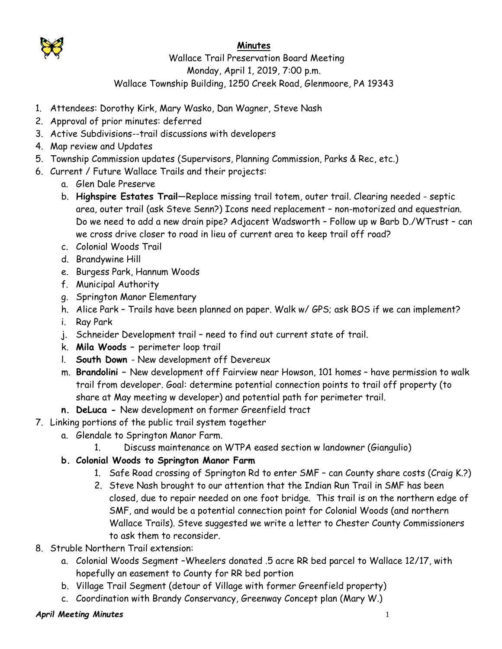

## **Minutes**

## Wallace Trail Preservation Board Meeting Monday, April 1, 2019, 7:00 p.m. Wallace Township Building, 1250 Creek Road, Glenmoore, PA 19343

- 1. Attendees: Dorothy Kirk, Mary Wasko, Dan Wagner, Steve Nash
- 2. Approval of prior minutes: deferred
- 3. Active Subdivisions--trail discussions with developers
- 4. Map review and Updates
- 5. Township Commission updates (Supervisors, Planning Commission, Parks & Rec, etc.)
- 6. Current / Future Wallace Trails and their projects:
	- a. Glen Dale Preserve
	- b. **Highspire Estates Trail**—Replace missing trail totem, outer trail. Clearing needed septic area, outer trail (ask Steve Senn?) Icons need replacement – non-motorized and equestrian. Do we need to add a new drain pipe? Adjacent Wadsworth – Follow up w Barb D./WTrust – can we cross drive closer to road in lieu of current area to keep trail off road?
	- c. Colonial Woods Trail
	- d. Brandywine Hill
	- e. Burgess Park, Hannum Woods
	- f. Municipal Authority
	- g. Springton Manor Elementary
	- h. Alice Park Trails have been planned on paper. Walk w/ GPS; ask BOS if we can implement?
	- i. Ray Park
	- j. Schneider Development trail need to find out current state of trail.
	- k. **Mila Woods –** perimeter loop trail
	- l. **South Down**  New development off Devereux
	- m. **Brandolini –** New development off Fairview near Howson, 101 homes have permission to walk trail from developer. Goal: determine potential connection points to trail off property (to share at May meeting w developer) and potential path for perimeter trail.
	- **n. DeLuca -** New development on former Greenfield tract
- 7. Linking portions of the public trail system together
	- a. Glendale to Springton Manor Farm.
		- 1. Discuss maintenance on WTPA eased section w landowner (Giangulio)
	- **b. Colonial Woods to Springton Manor Farm**
		- 1. Safe Road crossing of Springton Rd to enter SMF can County share costs (Craig K.?)
		- 2. Steve Nash brought to our attention that the Indian Run Trail in SMF has been closed, due to repair needed on one foot bridge. This trail is on the northern edge of SMF, and would be a potential connection point for Colonial Woods (and northern Wallace Trails). Steve suggested we write a letter to Chester County Commissioners to ask them to reconsider.
- 8. Struble Northern Trail extension:
	- a. Colonial Woods Segment –Wheelers donated .5 acre RR bed parcel to Wallace 12/17, with hopefully an easement to County for RR bed portion
	- b. Village Trail Segment (detour of Village with former Greenfield property)
	- c. Coordination with Brandy Conservancy, Greenway Concept plan (Mary W.)

## *April Meeting Minutes* 1